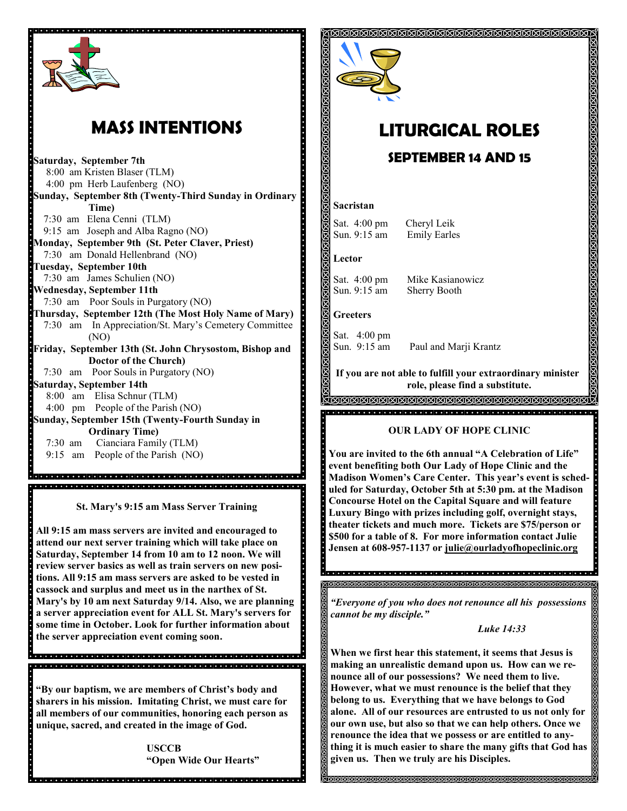

# **MASS INTENTIONS**

**Saturday, September 7th** 8:00 am Kristen Blaser (TLM) 4:00 pm Herb Laufenberg (NO) **Sunday, September 8th (Twenty-Third Sunday in Ordinary Time)** 7:30 am Elena Cenni (TLM) 9:15 am Joseph and Alba Ragno (NO) **Monday, September 9th (St. Peter Claver, Priest)** 7:30 am Donald Hellenbrand (NO) **Tuesday, September 10th**  7:30 am James Schulien (NO) **Wednesday, September 11th**  7:30 am Poor Souls in Purgatory (NO) **Thursday, September 12th (The Most Holy Name of Mary)** 7:30 am In Appreciation/St. Mary's Cemetery Committee (NO) **Friday, September 13th (St. John Chrysostom, Bishop and Doctor of the Church)** 7:30 am Poor Souls in Purgatory (NO) **Saturday, September 14th** 8:00 am Elisa Schnur (TLM) 4:00 pm People of the Parish (NO) **Sunday, September 15th (Twenty-Fourth Sunday in Ordinary Time)** 7:30 am Cianciara Family (TLM) 9:15 am People of the Parish (NO)

**St. Mary's 9:15 am Mass Server Training**

**All 9:15 am mass servers are invited and encouraged to attend our next server training which will take place on Saturday, September 14 from 10 am to 12 noon. We will review server basics as well as train servers on new positions. All 9:15 am mass servers are asked to be vested in cassock and surplus and meet us in the narthex of St. Mary's by 10 am next Saturday 9/14. Also, we are planning a server appreciation event for ALL St. Mary's servers for some time in October. Look for further information about the server appreciation event coming soon.**

**"By our baptism, we are members of Christ's body and sharers in his mission. Imitating Christ, we must care for all members of our communities, honoring each person as unique, sacred, and created in the image of God.**

> **USCCB "Open Wide Our Hearts"**



# **LITURGICAL ROLES**

### **SEPTEMBER 14 AND 15**

#### **Sacristan**

Sat. 4:00 pm Cheryl Leik Sun. 9:15 am Emily Earles

**Lector**

Sat. 4:00 pm Mike Kasianowicz

Sun. 9:15 am Sherry Booth

#### **Greeters**

Sat. 4:00 pm

Sun. 9:15 am Paul and Marji Krantz

**If you are not able to fulfill your extraordinary minister role, please find a substitute.** 

#### <u>AMMAMMAMMAMMAMMAMMAMMAMMA</u> 지지 지지 지지 지지 지지 지지 지지 지지 지지 지지 않아서 지지 지지 지지 않아서 지지 지지 지지 지지 지지 않아 지지 지지 않아 내가

#### **OUR LADY OF HOPE CLINIC**

**You are invited to the 6th annual "A Celebration of Life" event benefiting both Our Lady of Hope Clinic and the Madison Women's Care Center. This year's event is scheduled for Saturday, October 5th at 5:30 pm. at the Madison Concourse Hotel on the Capital Square and will feature Luxury Bingo with prizes including golf, overnight stays, theater tickets and much more. Tickets are \$75/person or \$500 for a table of 8. For more information contact Julie Jensen at 608-957-1137 or julie@ourladyofhopeclinic.org**

*"Everyone of you who does not renounce all his possessions cannot be my disciple."*

*Luke 14:33*

**When we first hear this statement, it seems that Jesus is making an unrealistic demand upon us. How can we renounce all of our possessions? We need them to live. However, what we must renounce is the belief that they belong to us. Everything that we have belongs to God alone. All of our resources are entrusted to us not only for our own use, but also so that we can help others. Once we renounce the idea that we possess or are entitled to anything it is much easier to share the many gifts that God has given us. Then we truly are his Disciples.** 

<u> KUKUKUKUKUKUKUKUKUKUKUKUKU</u>